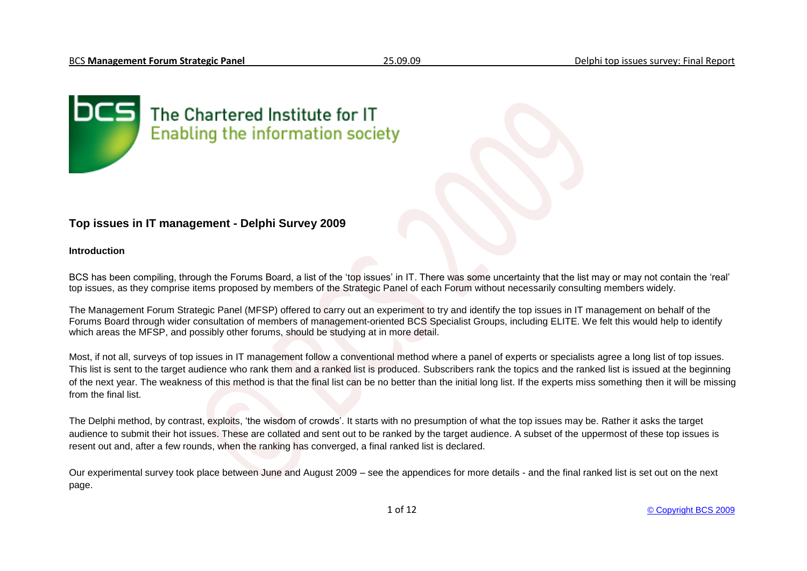

# The Chartered Institute for IT **Enabling the information society**

# **Top issues in IT management - Delphi Survey 2009**

## **Introduction**

BCS has been compiling, through the Forums Board, a list of the 'top issues' in IT. There was some uncertainty that the list may or may not contain the 'real' top issues, as they comprise items proposed by members of the Strategic Panel of each Forum without necessarily consulting members widely.

The Management Forum Strategic Panel (MFSP) offered to carry out an experiment to try and identify the top issues in IT management on behalf of the Forums Board through wider consultation of members of management-oriented BCS Specialist Groups, including ELITE. We felt this would help to identify which areas the MFSP, and possibly other forums, should be studying at in more detail.

Most, if not all, surveys of top issues in IT management follow a conventional method where a panel of experts or specialists agree a long list of top issues. This list is sent to the target audience who rank them and a ranked list is produced. Subscribers rank the topics and the ranked list is issued at the beginning of the next year. The weakness of this method is that the final list can be no better than the initial long list. If the experts miss something then it will be missing from the final list.

The Delphi method, by contrast, exploits, "the wisdom of crowds". It starts with no presumption of what the top issues may be. Rather it asks the target audience to submit their hot issues. These are collated and sent out to be ranked by the target audience. A subset of the uppermost of these top issues is resent out and, after a few rounds, when the ranking has converged, a final ranked list is declared.

Our experimental survey took place between June and August 2009 – see the appendices for more details - and the final ranked list is set out on the next page.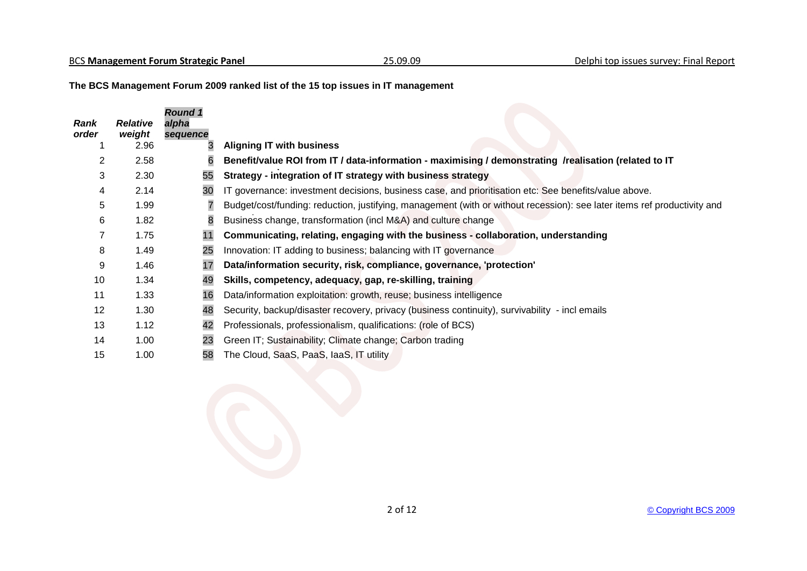**The BCS Management Forum 2009 ranked list of the 15 top issues in IT management**

| <b>Rank</b><br>order | <b>Relative</b><br>weight | <b>Round 1</b><br>alpha<br>sequence |                                                                                                                          |
|----------------------|---------------------------|-------------------------------------|--------------------------------------------------------------------------------------------------------------------------|
|                      | 2.96                      |                                     | <b>Aligning IT with business</b>                                                                                         |
| 2                    | 2.58                      | 6                                   | Benefit/value ROI from IT / data-information - maximising / demonstrating /realisation (related to IT                    |
| 3                    | 2.30                      | 55                                  | Strategy - integration of IT strategy with business strategy                                                             |
| 4                    | 2.14                      | 30                                  | IT governance: investment decisions, business case, and prioritisation etc: See benefits/value above.                    |
| 5                    | 1.99                      | 7                                   | Budget/cost/funding: reduction, justifying, management (with or without recession): see later items ref productivity and |
| 6                    | 1.82                      | 8                                   | Business change, transformation (incl M&A) and culture change                                                            |
|                      | 1.75                      | 11                                  | Communicating, relating, engaging with the business - collaboration, understanding                                       |
| 8                    | 1.49                      | 25                                  | Innovation: IT adding to business; balancing with IT governance                                                          |
| 9                    | 1.46                      | 17                                  | Data/information security, risk, compliance, governance, 'protection'                                                    |
| 10                   | 1.34                      | 49                                  | Skills, competency, adequacy, gap, re-skilling, training                                                                 |
| 11                   | 1.33                      | 16                                  | Data/information exploitation: growth, reuse; business intelligence                                                      |
| 12                   | 1.30                      | 48                                  | Security, backup/disaster recovery, privacy (business continuity), survivability - incl emails                           |
| 13                   | 1.12                      | 42                                  | Professionals, professionalism, qualifications: (role of BCS)                                                            |
| 14                   | 1.00                      | 23                                  | Green IT; Sustainability; Climate change; Carbon trading                                                                 |
| 15                   | 1.00                      | 58                                  | The Cloud, SaaS, PaaS, IaaS, IT utility                                                                                  |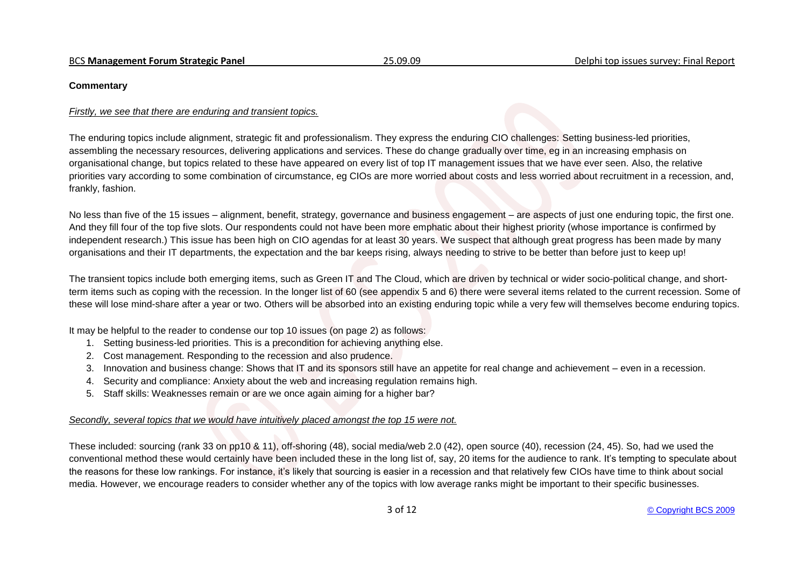#### **Commentary**

#### *Firstly, we see that there are enduring and transient topics.*

The enduring topics include alignment, strategic fit and professionalism. They express the enduring CIO challenges: Setting business-led priorities, assembling the necessary resources, delivering applications and services. These do change gradually over time, eg in an increasing emphasis on organisational change, but topics related to these have appeared on every list of top IT management issues that we have ever seen. Also, the relative priorities vary according to some combination of circumstance, eg CIOs are more worried about costs and less worried about recruitment in a recession, and, frankly, fashion.

No less than five of the 15 issues – alignment, benefit, strategy, governance and business engagement – are aspects of just one enduring topic, the first one. And they fill four of the top five slots. Our respondents could not have been more emphatic about their highest priority (whose importance is confirmed by independent research.) This issue has been high on CIO agendas for at least 30 years. We suspect that although great progress has been made by many organisations and their IT departments, the expectation and the bar keeps rising, always needing to strive to be better than before just to keep up!

The transient topics include both emerging items, such as Green IT and The Cloud, which are driven by technical or wider socio-political change, and shortterm items such as coping with the recession. In the longer list of 60 (see appendix 5 and 6) there were several items related to the current recession. Some of these will lose mind-share after a year or two. Others will be absorbed into an existing enduring topic while a very few will themselves become enduring topics.

It may be helpful to the reader to condense our top 10 issues (on page 2) as follows:

- 1. Setting business-led priorities. This is a precondition for achieving anything else.
- 2. Cost management. Responding to the recession and also prudence.
- 3. Innovation and business change: Shows that IT and its sponsors still have an appetite for real change and achievement even in a recession.
- 4. Security and compliance: Anxiety about the web and increasing regulation remains high.
- 5. Staff skills: Weaknesses remain or are we once again aiming for a higher bar?

# *Secondly, several topics that we would have intuitively placed amongst the top 15 were not.*

These included: sourcing (rank 33 on pp10 & 11), off-shoring (48), social media/web 2.0 (42), open source (40), recession (24, 45). So, had we used the conventional method these would certainly have been included these in the long list of, say, 20 items for the audience to rank. It's tempting to speculate about the reasons for these low rankings. For instance, it"s likely that sourcing is easier in a recession and that relatively few CIOs have time to think about social media. However, we encourage readers to consider whether any of the topics with low average ranks might be important to their specific businesses.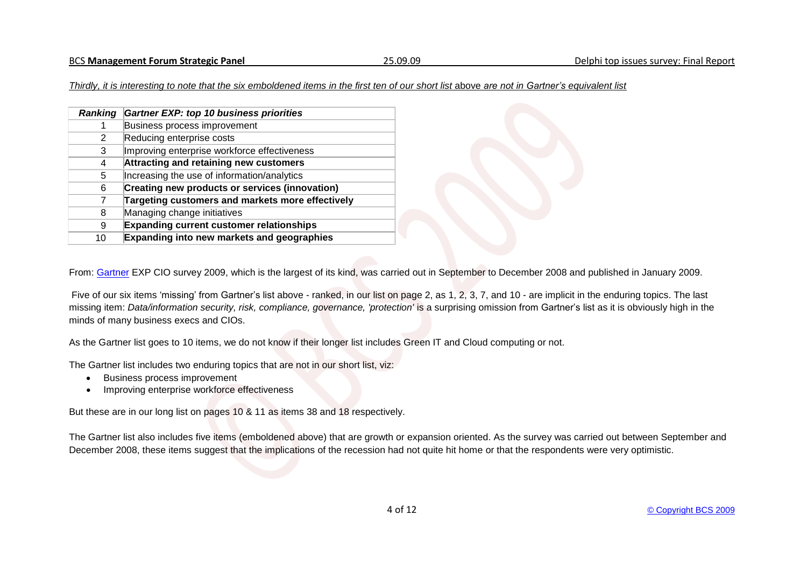*Thirdly, it is interesting to note that the six emboldened items in the first ten of our short list* above *are not in Gartner's equivalent list*

| <b>Ranking</b> | <b>Gartner EXP: top 10 business priorities</b>    |
|----------------|---------------------------------------------------|
| 1              | Business process improvement                      |
| 2              | Reducing enterprise costs                         |
| 3              | Improving enterprise workforce effectiveness      |
| 4              | Attracting and retaining new customers            |
| 5.             | Increasing the use of information/analytics       |
| 6              | Creating new products or services (innovation)    |
| 7              | Targeting customers and markets more effectively  |
| 8              | Managing change initiatives                       |
| 9              | <b>Expanding current customer relationships</b>   |
| 10             | <b>Expanding into new markets and geographies</b> |

From: [Gartner](http://www.gartner.com/it/page.jsp?id=855612) EXP CIO survey 2009, which is the largest of its kind, was carried out in September to December 2008 and published in January 2009.

Five of our six items 'missing' from Gartner's list above - ranked, in our list on page 2, as 1, 2, 3, 7, and 10 - are implicit in the enduring topics. The last missing item: Data/information security, risk, compliance, governance, 'protection' is a surprising omission from Gartner's list as it is obviously high in the minds of many business execs and CIOs.

As the Gartner list goes to 10 items, we do not know if their longer list includes Green IT and Cloud computing or not.

The Gartner list includes two enduring topics that are not in our short list, viz:

- Business process improvement
- Improving enterprise workforce effectiveness

But these are in our long list on pages 10 & 11 as items 38 and 18 respectively.

The Gartner list also includes five items (emboldened above) that are growth or expansion oriented. As the survey was carried out between September and December 2008, these items suggest that the implications of the recession had not quite hit home or that the respondents were very optimistic.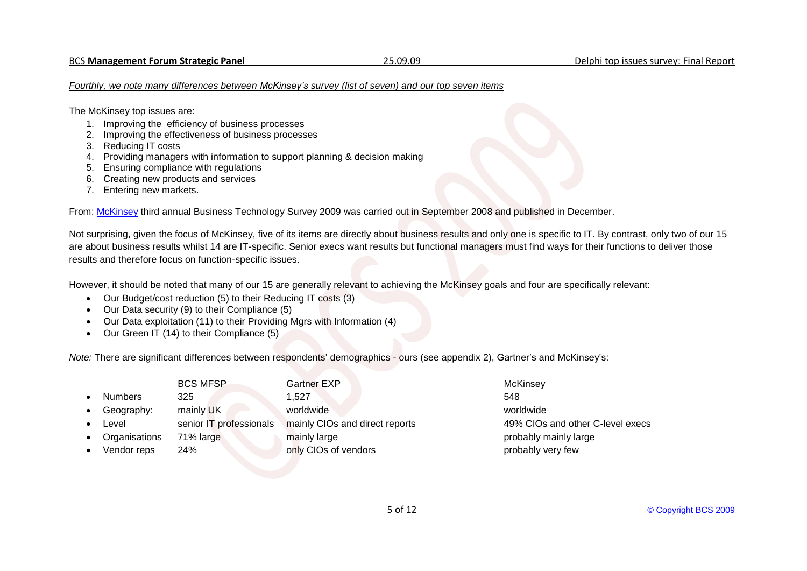#### *Fourthly, we note many differences between McKinsey's survey (list of seven) and our top seven items*

The McKinsey top issues are:

- 1. Improving the efficiency of business processes
- 2. Improving the effectiveness of business processes
- 3. Reducing IT costs
- 4. Providing managers with information to support planning & decision making
- 5. Ensuring compliance with regulations
- 6. Creating new products and services
- 7. Entering new markets.

From: [McKinsey](http://www.mckinseyquarterly.com/Business_Technology/BT_Organization/ITs_unmet_potential_McKinsey_Global_Survey_Result_2277?pagenum=3#Exhibit1) third annual Business Technology Survey 2009 was carried out in September 2008 and published in December.

Not surprising, given the focus of McKinsey, five of its items are directly about business results and only one is specific to IT. By contrast, only two of our 15 are about business results whilst 14 are IT-specific. Senior execs want results but functional managers must find ways for their functions to deliver those results and therefore focus on function-specific issues.

However, it should be noted that many of our 15 are generally relevant to achieving the McKinsey goals and four are specifically relevant:

- Our Budget/cost reduction (5) to their Reducing IT costs (3)
- Our Data security (9) to their Compliance (5)
- Our Data exploitation (11) to their Providing Mgrs with Information (4)
- Our Green IT (14) to their Compliance (5)

*Note:* There are significant differences between respondents' demographics - ours (see appendix 2), Gartner's and McKinsey's:

|                | <b>BCS MFSP</b>         | <b>Gartner EXP</b>             | McKinsey                         |
|----------------|-------------------------|--------------------------------|----------------------------------|
| <b>Numbers</b> | 325                     | 1.527                          | 548                              |
| Geography:     | mainly UK               | worldwide                      | worldwide                        |
| Level          | senior IT professionals | mainly CIOs and direct reports | 49% CIOs and other C-level execs |
| Organisations  | 71% large               | mainly large                   | probably mainly large            |
| Vendor reps    | 24%                     | only CIOs of vendors           | probably very few                |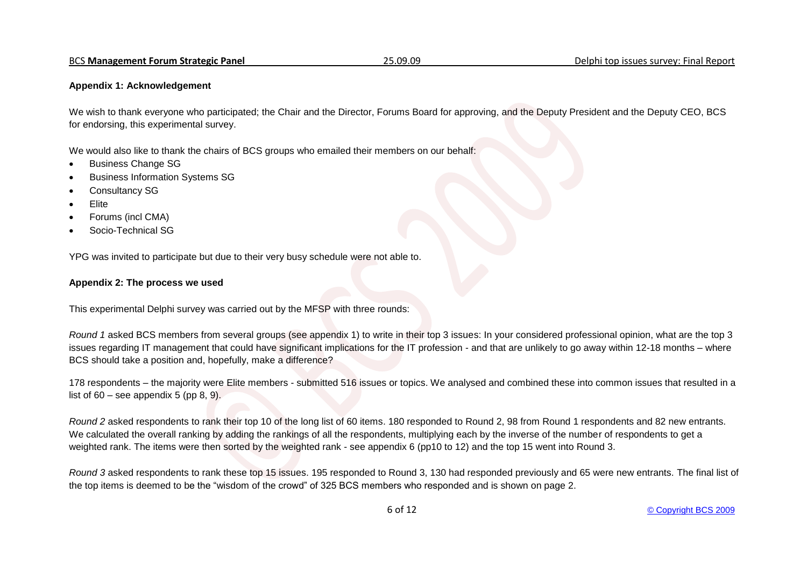## **Appendix 1: Acknowledgement**

We wish to thank everyone who participated; the Chair and the Director, Forums Board for approving, and the Deputy President and the Deputy CEO, BCS for endorsing, this experimental survey.

We would also like to thank the chairs of BCS groups who emailed their members on our behalf:

- Business Change SG
- Business Information Systems SG
- Consultancy SG
- Elite
- Forums (incl CMA)
- Socio-Technical SG

YPG was invited to participate but due to their very busy schedule were not able to.

## **Appendix 2: The process we used**

This experimental Delphi survey was carried out by the MFSP with three rounds:

*Round 1* asked BCS members from several groups (see appendix 1) to write in their top 3 issues: In your considered professional opinion, what are the top 3 issues regarding IT management that could have significant implications for the IT profession - and that are unlikely to go away within 12-18 months – where BCS should take a position and, hopefully, make a difference?

178 respondents – the majority were Elite members - submitted 516 issues or topics. We analysed and combined these into common issues that resulted in a list of  $60$  – see appendix 5 (pp 8, 9).

*Round 2* asked respondents to rank their top 10 of the long list of 60 items. 180 responded to Round 2, 98 from Round 1 respondents and 82 new entrants. We calculated the overall ranking by adding the rankings of all the respondents, multiplying each by the inverse of the number of respondents to get a weighted rank. The items were then sorted by the weighted rank - see appendix 6 (pp10 to 12) and the top 15 went into Round 3.

*Round 3* asked respondents to rank these top 15 issues. 195 responded to Round 3, 130 had responded previously and 65 were new entrants. The final list of the top items is deemed to be the "wisdom of the crowd" of 325 BCS members who responded and is shown on page 2.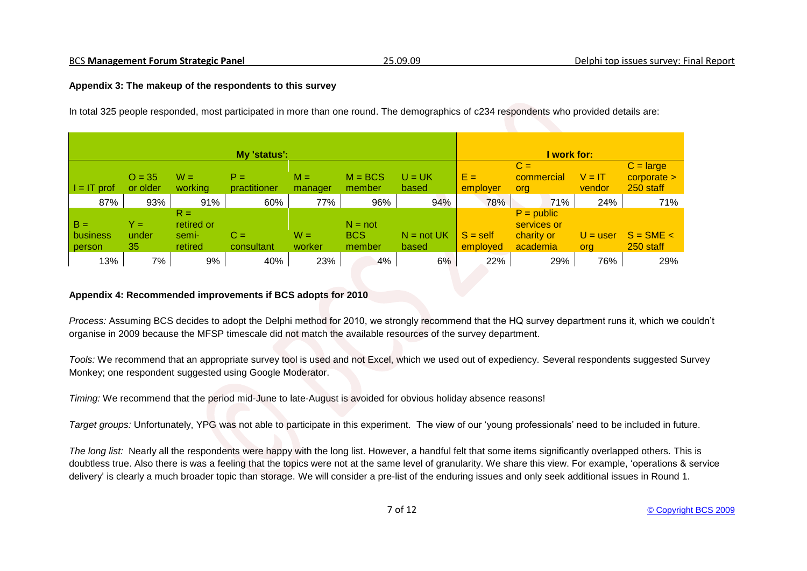# **Appendix 3: The makeup of the respondents to this survey**

In total 325 people responded, most participated in more than one round. The demographics of c234 respondents who provided details are:

|                             |                      |                                         | My 'status':          |                  |                                   |                       |                        | I work for:                                           |                    |                                           |
|-----------------------------|----------------------|-----------------------------------------|-----------------------|------------------|-----------------------------------|-----------------------|------------------------|-------------------------------------------------------|--------------------|-------------------------------------------|
| $=$ IT prof                 | $Q = 35$<br>or older | $W =$<br>working                        | $P =$<br>practitioner | $M =$<br>manager | $M = BCS$<br>member               | $U = UK$<br>based     | $E =$<br>employer      | $C =$<br>commercial<br>org                            | $V = IT$<br>vendor | $C = large$<br>$corporate$ ><br>250 staff |
| 87%                         | 93%                  | 91%                                     | 60%                   | 77%              | 96%                               | 94%                   | 78%                    | 71%                                                   | 24%                | 71%                                       |
| $B =$<br>business<br>person | Y =<br>under<br>35   | $R =$<br>retired or<br>semi-<br>retired | $C =$<br>consultant   | $W =$<br>worker  | $N = not$<br><b>BCS</b><br>member | $N = not UK$<br>based | $S = self$<br>employed | $P = public$<br>services or<br>charity or<br>academia | $U = user$<br>org  | $S = SME <$<br>250 staff                  |
| 13%                         | 7%                   | 9%                                      | 40%                   | 23%              | 4%                                | 6%                    | 22%                    | 29%                                                   | 76%                | 29%                                       |

# **Appendix 4: Recommended improvements if BCS adopts for 2010**

*Process:* Assuming BCS decides to adopt the Delphi method for 2010, we strongly recommend that the HQ survey department runs it, which we couldn"t organise in 2009 because the MFSP timescale did not match the available resources of the survey department.

*Tools:* We recommend that an appropriate survey tool is used and not Excel, which we used out of expediency. Several respondents suggested Survey Monkey; one respondent suggested using Google Moderator.

*Timing:* We recommend that the period mid-June to late-August is avoided for obvious holiday absence reasons!

*Target groups:* Unfortunately, YPG was not able to participate in this experiment. The view of our "young professionals" need to be included in future.

*The long list:* Nearly all the respondents were happy with the long list. However, a handful felt that some items significantly overlapped others. This is doubtless true. Also there is was a feeling that the topics were not at the same level of granularity. We share this view. For example, "operations & service delivery' is clearly a much broader topic than storage. We will consider a pre-list of the enduring issues and only seek additional issues in Round 1.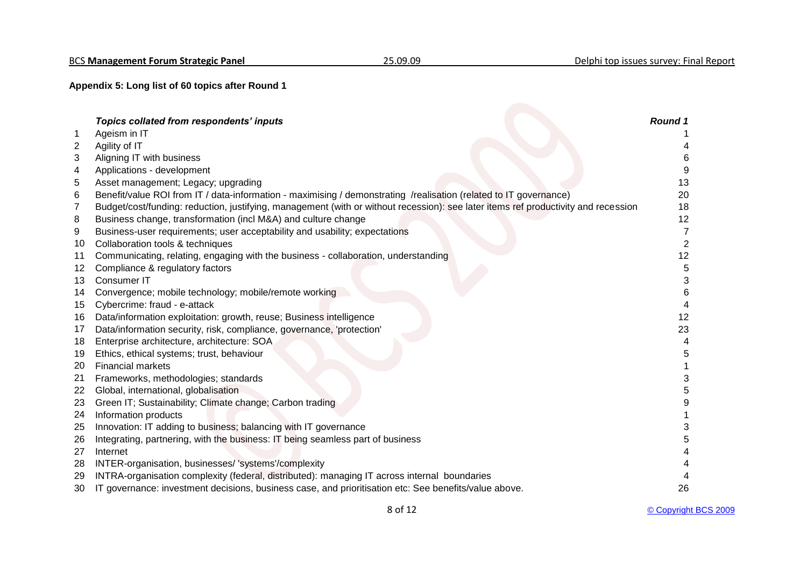**Appendix 5: Long list of 60 topics after Round 1**

|    | Topics collated from respondents' inputs                                                                                           | Round 1 |
|----|------------------------------------------------------------------------------------------------------------------------------------|---------|
|    | Ageism in IT                                                                                                                       |         |
| 2  | Agility of IT                                                                                                                      |         |
| 3  | Aligning IT with business                                                                                                          | 6       |
| 4  | Applications - development                                                                                                         | 9       |
| 5  | Asset management; Legacy; upgrading                                                                                                | 13      |
| 6  | Benefit/value ROI from IT / data-information - maximising / demonstrating /realisation (related to IT governance)                  | 20      |
| 7  | Budget/cost/funding: reduction, justifying, management (with or without recession): see later items ref productivity and recession | 18      |
| 8  | Business change, transformation (incl M&A) and culture change                                                                      | 12      |
| 9  | Business-user requirements; user acceptability and usability; expectations                                                         |         |
| 10 | Collaboration tools & techniques                                                                                                   | 2       |
| 11 | Communicating, relating, engaging with the business - collaboration, understanding                                                 | 12      |
| 12 | Compliance & regulatory factors                                                                                                    | 5       |
| 13 | Consumer IT                                                                                                                        | 3       |
| 14 | Convergence; mobile technology; mobile/remote working                                                                              | 6       |
| 15 | Cybercrime: fraud - e-attack                                                                                                       |         |
| 16 | Data/information exploitation: growth, reuse; Business intelligence                                                                | 12      |
| 17 | Data/information security, risk, compliance, governance, 'protection'                                                              | 23      |
| 18 | Enterprise architecture, architecture: SOA                                                                                         |         |
| 19 | Ethics, ethical systems; trust, behaviour                                                                                          | 5       |
| 20 | <b>Financial markets</b>                                                                                                           |         |
| 21 | Frameworks, methodologies; standards                                                                                               | 3       |
| 22 | Global, international, globalisation                                                                                               | 5       |
| 23 | Green IT; Sustainability; Climate change; Carbon trading                                                                           |         |
| 24 | Information products                                                                                                               |         |
| 25 | Innovation: IT adding to business; balancing with IT governance                                                                    |         |
| 26 | Integrating, partnering, with the business: IT being seamless part of business                                                     | 5       |
| 27 | Internet                                                                                                                           |         |
| 28 | INTER-organisation, businesses/ 'systems'/complexity                                                                               |         |
| 29 | INTRA-organisation complexity (federal, distributed): managing IT across internal boundaries                                       |         |
| 30 | IT governance: investment decisions, business case, and prioritisation etc: See benefits/value above.                              | 26      |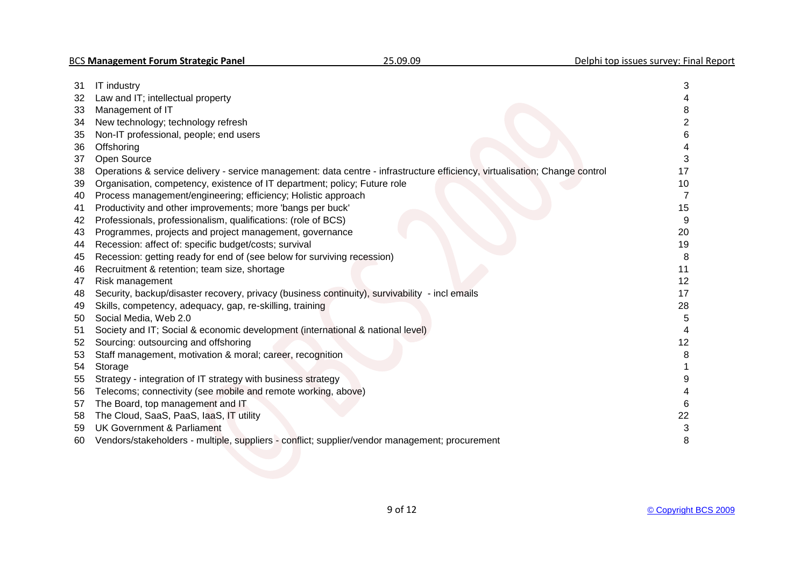| 31 | IT industry                                                                                                                 | 3  |
|----|-----------------------------------------------------------------------------------------------------------------------------|----|
| 32 | Law and IT; intellectual property                                                                                           |    |
| 33 | Management of IT                                                                                                            |    |
| 34 | New technology; technology refresh                                                                                          | 2  |
| 35 | Non-IT professional, people; end users                                                                                      | 6  |
| 36 | Offshoring                                                                                                                  |    |
| 37 | Open Source                                                                                                                 |    |
| 38 | Operations & service delivery - service management: data centre - infrastructure efficiency, virtualisation; Change control | 17 |
| 39 | Organisation, competency, existence of IT department; policy; Future role                                                   | 10 |
| 40 | Process management/engineering; efficiency; Holistic approach                                                               |    |
| 41 | Productivity and other improvements; more 'bangs per buck'                                                                  | 15 |
| 42 | Professionals, professionalism, qualifications: (role of BCS)                                                               | 9  |
| 43 | Programmes, projects and project management, governance                                                                     | 20 |
| 44 | Recession: affect of: specific budget/costs; survival                                                                       | 19 |
| 45 | Recession: getting ready for end of (see below for surviving recession)                                                     | 8  |
| 46 | Recruitment & retention; team size, shortage                                                                                | 11 |
| 47 | Risk management                                                                                                             | 12 |
| 48 | Security, backup/disaster recovery, privacy (business continuity), survivability - incl emails                              | 17 |
| 49 | Skills, competency, adequacy, gap, re-skilling, training                                                                    | 28 |
| 50 | Social Media, Web 2.0                                                                                                       | 5  |
| 51 | Society and IT; Social & economic development (international & national level)                                              |    |
| 52 | Sourcing: outsourcing and offshoring                                                                                        | 12 |
| 53 | Staff management, motivation & moral; career, recognition                                                                   | 8  |
| 54 | Storage                                                                                                                     |    |
| 55 | Strategy - integration of IT strategy with business strategy                                                                |    |
| 56 | Telecoms; connectivity (see mobile and remote working, above)                                                               |    |
| 57 | The Board, top management and IT                                                                                            | 6  |
| 58 | The Cloud, SaaS, PaaS, IaaS, IT utility                                                                                     | 22 |
| 59 | <b>UK Government &amp; Parliament</b>                                                                                       | 3  |
| 60 | Vendors/stakeholders - multiple, suppliers - conflict; supplier/vendor management; procurement                              | 8  |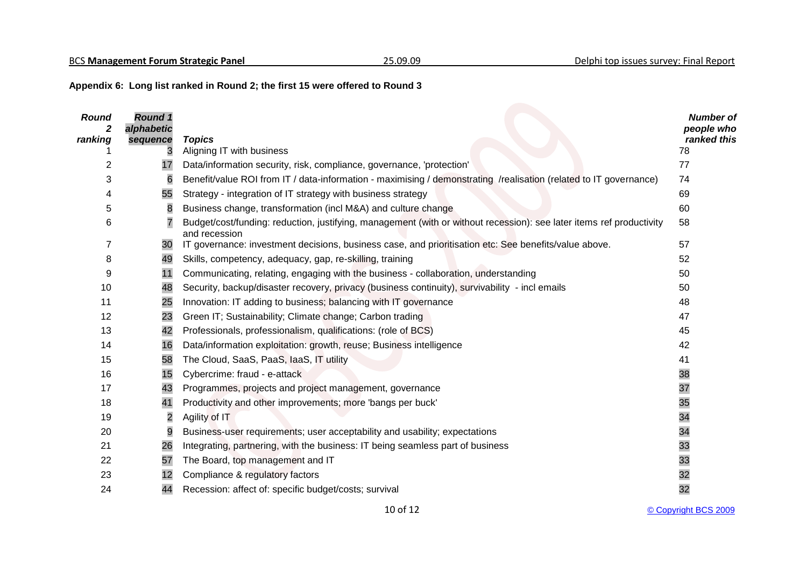# **Appendix 6: Long list ranked in Round 2; the first 15 were offered to Round 3**

| <b>Round</b>   | <b>Round 1</b><br>alphabetic |                                                                                                                                       | <b>Number of</b><br>people who |
|----------------|------------------------------|---------------------------------------------------------------------------------------------------------------------------------------|--------------------------------|
| ranking        | sequence                     | <b>Topics</b>                                                                                                                         | ranked this                    |
|                | 3                            | Aligning IT with business                                                                                                             | 78                             |
| 2              | 17                           | Data/information security, risk, compliance, governance, 'protection'                                                                 | 77                             |
| 3              | 6                            | Benefit/value ROI from IT / data-information - maximising / demonstrating /realisation (related to IT governance)                     | 74                             |
| 4              | 55                           | Strategy - integration of IT strategy with business strategy                                                                          | 69                             |
| 5              | 8                            | Business change, transformation (incl M&A) and culture change                                                                         | 60                             |
| 6              | $\overline{7}$               | Budget/cost/funding: reduction, justifying, management (with or without recession): see later items ref productivity<br>and recession | 58                             |
| $\overline{7}$ | 30                           | IT governance: investment decisions, business case, and prioritisation etc: See benefits/value above.                                 | 57                             |
| 8              | 49                           | Skills, competency, adequacy, gap, re-skilling, training                                                                              | 52                             |
| 9              | 11                           | Communicating, relating, engaging with the business - collaboration, understanding                                                    | 50                             |
| 10             | 48                           | Security, backup/disaster recovery, privacy (business continuity), survivability - incl emails                                        | 50                             |
| 11             | 25                           | Innovation: IT adding to business; balancing with IT governance                                                                       | 48                             |
| 12             | 23                           | Green IT; Sustainability; Climate change; Carbon trading                                                                              | 47                             |
| 13             | 42                           | Professionals, professionalism, qualifications: (role of BCS)                                                                         | 45                             |
| 14             | 16                           | Data/information exploitation: growth, reuse; Business intelligence                                                                   | 42                             |
| 15             | 58                           | The Cloud, SaaS, PaaS, IaaS, IT utility                                                                                               | 41                             |
| 16             | 15                           | Cybercrime: fraud - e-attack                                                                                                          | 38                             |
| 17             | 43                           | Programmes, projects and project management, governance                                                                               | 37                             |
| 18             | 41                           | Productivity and other improvements; more 'bangs per buck'                                                                            | 35                             |
| 19             | $\overline{c}$               | Agility of IT                                                                                                                         | 34                             |
| 20             | 9                            | Business-user requirements; user acceptability and usability; expectations                                                            | 34                             |
| 21             | 26                           | Integrating, partnering, with the business: IT being seamless part of business                                                        | 33                             |
| 22             | 57                           | The Board, top management and IT                                                                                                      | 33                             |
| 23             | 12                           | Compliance & regulatory factors                                                                                                       | 32                             |
| 24             | 44                           | Recession: affect of: specific budget/costs; survival                                                                                 | 32                             |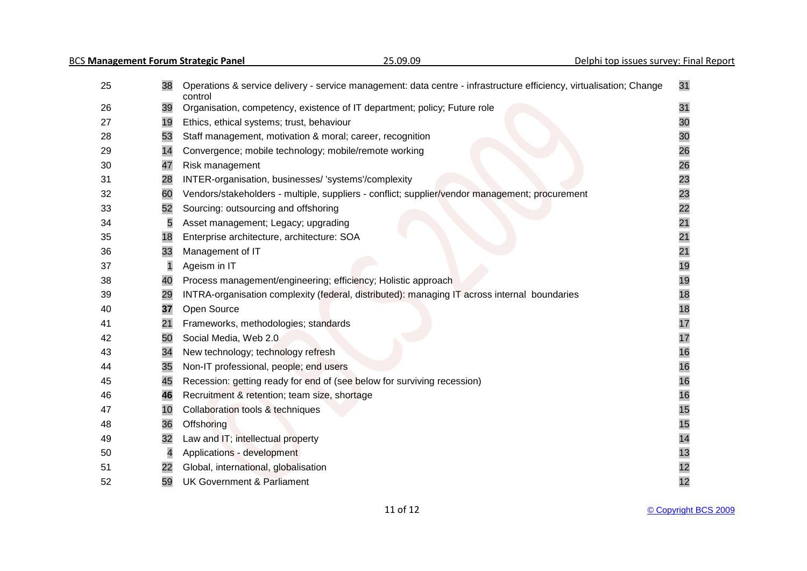| 25 | 38                      | Operations & service delivery - service management: data centre - infrastructure efficiency, virtualisation; Change<br>control | 31 |
|----|-------------------------|--------------------------------------------------------------------------------------------------------------------------------|----|
| 26 | 39                      | Organisation, competency, existence of IT department; policy; Future role                                                      | 31 |
| 27 | 19                      | Ethics, ethical systems; trust, behaviour                                                                                      | 30 |
| 28 | 53                      | Staff management, motivation & moral; career, recognition                                                                      | 30 |
| 29 | 14                      | Convergence; mobile technology; mobile/remote working                                                                          | 26 |
| 30 | 47                      | Risk management                                                                                                                | 26 |
| 31 | 28                      | INTER-organisation, businesses/ 'systems'/complexity                                                                           | 23 |
| 32 | 60                      | Vendors/stakeholders - multiple, suppliers - conflict; supplier/vendor management; procurement                                 | 23 |
| 33 | 52                      | Sourcing: outsourcing and offshoring                                                                                           | 22 |
| 34 | 5                       | Asset management; Legacy; upgrading                                                                                            | 21 |
| 35 | 18                      | Enterprise architecture, architecture: SOA                                                                                     | 21 |
| 36 | 33                      | Management of IT                                                                                                               | 21 |
| 37 |                         | Ageism in IT                                                                                                                   | 19 |
| 38 | 40                      | Process management/engineering; efficiency; Holistic approach                                                                  | 19 |
| 39 | 29                      | INTRA-organisation complexity (federal, distributed): managing IT across internal boundaries                                   | 18 |
| 40 | 37                      | Open Source                                                                                                                    | 18 |
| 41 | 21                      | Frameworks, methodologies; standards                                                                                           | 17 |
| 42 | 50                      | Social Media, Web 2.0                                                                                                          | 17 |
| 43 | 34                      | New technology; technology refresh                                                                                             | 16 |
| 44 | 35                      | Non-IT professional, people; end users                                                                                         | 16 |
| 45 | 45                      | Recession: getting ready for end of (see below for surviving recession)                                                        | 16 |
| 46 | 46                      | Recruitment & retention; team size, shortage                                                                                   | 16 |
| 47 | 10                      | Collaboration tools & techniques                                                                                               | 15 |
| 48 | 36                      | Offshoring                                                                                                                     | 15 |
| 49 | 32                      | Law and IT; intellectual property                                                                                              | 14 |
| 50 | $\overline{\mathbf{4}}$ | Applications - development                                                                                                     | 13 |
| 51 | 22                      | Global, international, globalisation                                                                                           | 12 |
| 52 | 59                      | <b>UK Government &amp; Parliament</b>                                                                                          | 12 |